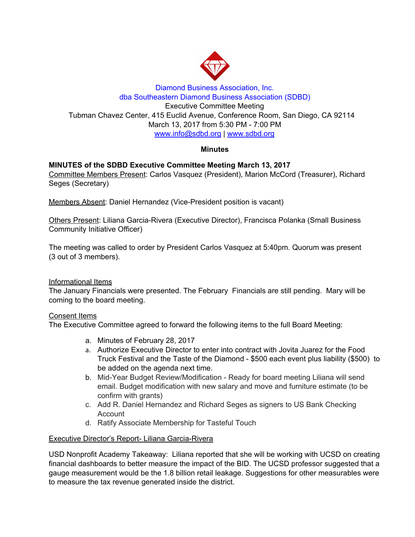

## Diamond Business Association, Inc. dba Southeastern Diamond Business Association (SDBD) Executive Committee Meeting Tubman Chavez Center, 415 Euclid Avenue, Conference Room, San Diego, CA 92114 March 13, 2017 from 5:30 PM - 7:00 PM www.info@sdbd.org | [www.sdbd.org](http://www.sdbd.org/)

## **Minutes**

# **MINUTES of the SDBD Executive Committee Meeting March 13, 2017**

Committee Members Present: Carlos Vasquez (President), Marion McCord (Treasurer), Richard Seges (Secretary)

Members Absent: Daniel Hernandez (Vice-President position is vacant)

Others Present: Liliana Garcia-Rivera (Executive Director), Francisca Polanka (Small Business Community Initiative Officer)

The meeting was called to order by President Carlos Vasquez at 5:40pm. Quorum was present (3 out of 3 members).

## Informational Items

The January Financials were presented. The February Financials are still pending. Mary will be coming to the board meeting.

### Consent Items

The Executive Committee agreed to forward the following items to the full Board Meeting:

- a. Minutes of February 28, 2017
- a. Authorize Executive Director to enter into contract with Jovita Juarez for the Food Truck Festival and the Taste of the Diamond - \$500 each event plus liability (\$500) to be added on the agenda next time.
- b. Mid-Year Budget Review/Modification Ready for board meeting Liliana will send email. Budget modification with new salary and move and furniture estimate (to be confirm with grants)
- c. Add R. Daniel Hernandez and Richard Seges as signers to US Bank Checking Account
- d. Ratify Associate Membership for Tasteful Touch

## Executive Director's Report- Liliana Garcia-Rivera

USD Nonprofit Academy Takeaway: Liliana reported that she will be working with UCSD on creating financial dashboards to better measure the impact of the BID. The UCSD professor suggested that a gauge measurement would be the 1.8 billion retail leakage. Suggestions for other measurables were to measure the tax revenue generated inside the district.